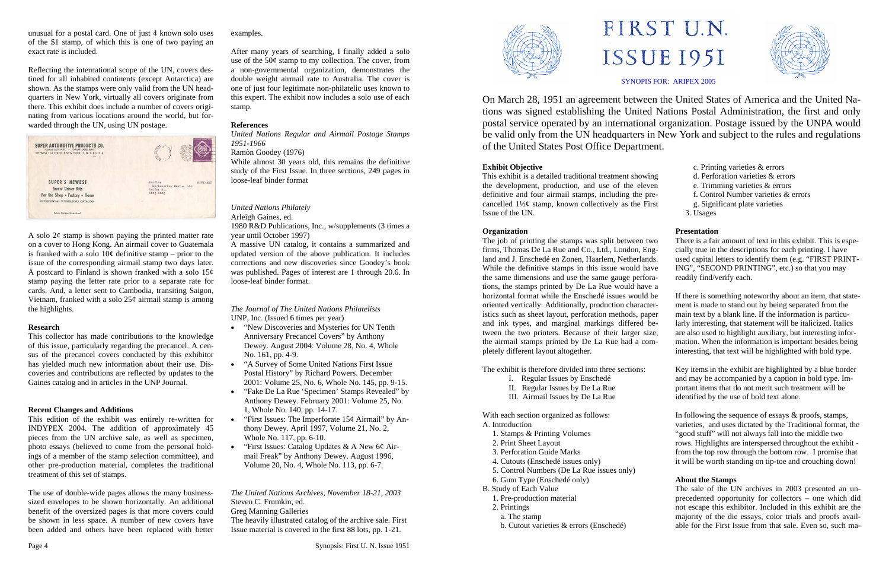unusual for a postal card. One of just 4 known solo uses of the \$1 stamp, of which this is one of two paying an exact rate is included.

Reflecting the international scope of the UN, covers destined for all inhabited continents (except Antarctica) are shown. As the stamps were only valid from the UN headquarters in New York, virtually all covers originate from there. This exhibit does include a number of covers originating from various locations around the world, but forwarded through the UN, using UN postage.



A solo  $2\phi$  stamp is shown paying the printed matter rate on a cover to Hong Kong. An airmail cover to Guatemala is franked with a solo  $10¢$  definitive stamp – prior to the issue of the corresponding airmail stamp two days later. A postcard to Finland is shown franked with a solo  $15¢$ stamp paying the letter rate prior to a separate rate for cards. And, a letter sent to Cambodia, transiting Saigon, Vietnam, franked with a solo  $25¢$  airmail stamp is among the highlights.

### **Research**

This collector has made contributions to the knowledge of this issue, particularly regarding the precancel. A census of the precancel covers conducted by this exhibitor has yielded much new information about their use. Discoveries and contributions are reflected by updates to the Gaines catalog and in articles in the UNP Journal.

## **Recent Changes and Additions**

This edition of the exhibit was entirely re-written for INDYPEX 2004. The addition of approximately 45 pieces from the UN archive sale, as well as specimen, photo essays (believed to come from the personal holdings of a member of the stamp selection committee), and other pre-production material, completes the traditional treatment of this set of stamps.

The use of double-wide pages allows the many businesssized envelopes to be shown horizontally. An additional benefit of the oversized pages is that more covers could be shown in less space. A number of new covers have been added and others have been replaced with better

examples.

After many years of searching, I finally added a solo use of the 50¢ stamp to my collection. The cover, from a non-governmental organization, demonstrates the double weight airmail rate to Australia. The cover is one of just four legitimate non-philatelic uses known to this expert. The exhibit now includes a solo use of each stamp.

## **References**

*United Nations Regular and Airmail Postage Stamps 1951-1966* 

#### Ramòn Goodey (1976)

While almost 30 years old, this remains the definitive study of the First Issue. In three sections, 249 pages in loose-leaf binder format

## *United Nations Philately*

Arleigh Gaines, ed.

1980 R&D Publications, Inc., w/supplements (3 times a year until October 1997)

A massive UN catalog, it contains a summarized and updated version of the above publication. It includes corrections and new discoveries since Goodey's book was published. Pages of interest are 1 through 20.6. In loose-leaf binder format.

*The Journal of The United Nations Philatelists*  UNP, Inc. (Issued 6 times per year)

- "New Discoveries and Mysteries for UN Tenth Anniversary Precancel Covers" by Anthony Dewey. August 2004: Volume 28, No. 4, Whole No. 161, pp. 4-9.
- "A Survey of Some United Nations First Issue Postal History" by Richard Powers. December 2001: Volume 25, No. 6, Whole No. 145, pp. 9-15.
- "Fake De La Rue 'Specimen' Stamps Revealed" by Anthony Dewey. February 2001: Volume 25, No. 1, Whole No. 140, pp. 14-17.
- "First Issues: The Imperforate  $15¢$  Airmail" by Anthony Dewey. April 1997, Volume 21, No. 2, Whole No. 117, pp. 6-10.
- "First Issues: Catalog Updates & A New 6¢ Airmail Freak" by Anthony Dewey. August 1996, Volume 20, No. 4, Whole No. 113, pp. 6-7.

*The United Nations Archives, November 18-21, 2003*  Steven C. Frumkin, ed. Greg Manning Galleries

The heavily illustrated catalog of the archive sale. First Issue material is covered in the first 88 lots, pp. 1-21.





# FIRST U.N. ISSUE 1951

On March 28, 1951 an agreement between the United States of America and the United Nations was signed establishing the United Nations Postal Administration, the first and only postal service operated by an international organization. Postage issued by the UNPA would be valid only from the UN headquarters in New York and subject to the rules and regulations of the United States Post Office Department.

### **Exhibit Objective**

This exhibit is a detailed traditional treatment showing the development, production, and use of the eleven definitive and four airmail stamps, including the precancelled  $1\frac{1}{2}\phi$  stamp, known collectively as the First Issue of the UN.

#### **Organization**

The exhibit is therefore divided into three sections:

- I. Regular Issues by Enschedé
- II. Regular Issues by De La Rue
- III. Airmail Issues by De La Rue

With each section organized as follows:

- A. Introduction
- 1. Stamps & Printing Volumes
- 2. Print Sheet Layout
- 3. Perforation Guide Marks
- 4. Cutouts (Enschedé issues only)
- 5. Control Numbers (De La Rue issues only)
- 6. Gum Type (Enschedé only)
- B. Study of Each Value
- 1. Pre-production material
- 2. Printings
- a. The stamp
- b. Cutout varieties & errors (Enschedé)

The job of printing the stamps was split between two firms, Thomas De La Rue and Co., Ltd., London, England and J. Enschedé en Zonen, Haarlem, Netherlands. While the definitive stamps in this issue would have the same dimensions and use the same gauge perforations, the stamps printed by De La Rue would have a horizontal format while the Enschedé issues would be oriented vertically. Additionally, production characteristics such as sheet layout, perforation methods, paper and ink types, and marginal markings differed between the two printers. Because of their larger size, the airmail stamps printed by De La Rue had a completely different layout altogether. There is a fair amount of text in this exhibit. This is especially true in the descriptions for each printing. I have used capital letters to identify them (e.g. "FIRST PRINT-ING", "SECOND PRINTING", etc.) so that you may readily find/verify each. If there is something noteworthy about an item, that statement is made to stand out by being separated from the main text by a blank line. If the information is particularly interesting, that statement will be italicized. Italics are also used to highlight auxiliary, but interesting information. When the information is important besides being interesting, that text will be highlighted with bold type.

SYNOPIS FOR: ARIPEX 2005



|     | c. Printing varieties & errors       |
|-----|--------------------------------------|
| g   | d. Perforation varieties & errors    |
| 'n  | e. Trimming varieties & errors       |
| $-$ | f. Control Number varieties & errors |
| st  | g. Significant plate varieties       |
|     | 3. Usages                            |
|     |                                      |

# **Presentation**

Key items in the exhibit are highlighted by a blue border and may be accompanied by a caption in bold type. Important items that do not merit such treatment will be identified by the use of bold text alone.

In following the sequence of essays & proofs, stamps, varieties, and uses dictated by the Traditional format, the "good stuff" will not always fall into the middle two rows. Highlights are interspersed throughout the exhibit from the top row through the bottom row. I promise that it will be worth standing on tip-toe and crouching down!

### **About the Stamps**

The sale of the UN archives in 2003 presented an unprecedented opportunity for collectors – one which did not escape this exhibitor. Included in this exhibit are the majority of the die essays, color trials and proofs available for the First Issue from that sale. Even so, such ma